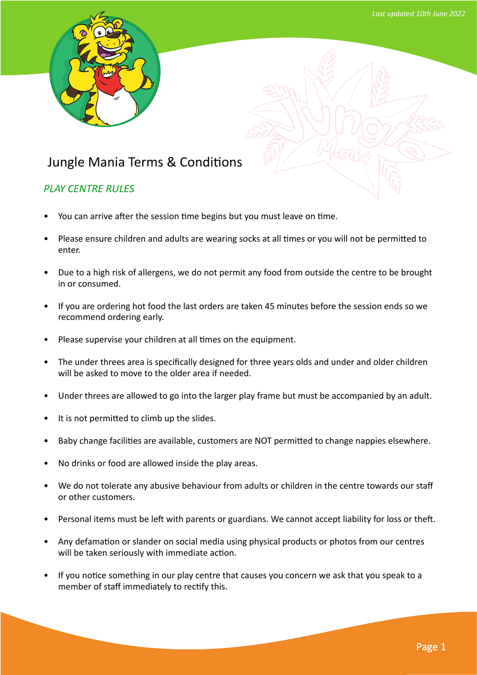

## Jungle Mania Terms & Conditions

## *PLAY CENTRE RULES*

- You can arrive after the session time begins but you must leave on time.
- Please ensure children and adults are wearing socks at all times or you will not be permitted to enter.
- Due to a high risk of allergens, we do not permit any food from outside the centre to be brought in or consumed.
- If you are ordering hot food the last orders are taken 45 minutes before the session ends so we recommend ordering early.
- Please supervise your children at all times on the equipment.
- The under threes area is specifically designed for three years olds and under and older children will be asked to move to the older area if needed.
- Under threes are allowed to go into the larger play frame but must be accompanied by an adult.
- It is not permitted to climb up the slides.
- Baby change facilities are available, customers are NOT permitted to change nappies elsewhere.
- No drinks or food are allowed inside the play areas.
- We do not tolerate any abusive behaviour from adults or children in the centre towards our staff or other customers.
- Personal items must be left with parents or guardians. We cannot accept liability for loss or theft.
- Any defamation or slander on social media using physical products or photos from our centres will be taken seriously with immediate action.
- If you notice something in our play centre that causes you concern we ask that you speak to a member of staff immediately to rectify this.